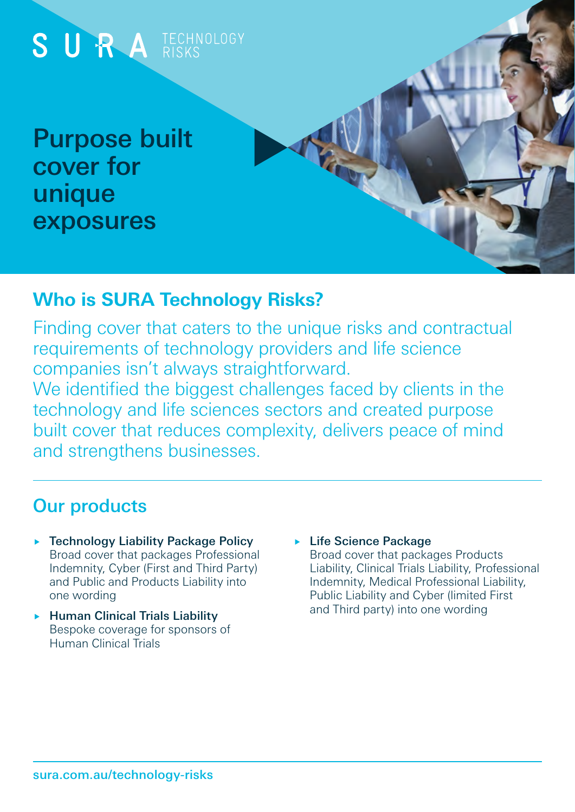

### **Who is SURA Technology Risks?**

Finding cover that caters to the unique risks and contractual requirements of technology providers and life science companies isn't always straightforward.

We identified the biggest challenges faced by clients in the technology and life sciences sectors and created purpose built cover that reduces complexity, delivers peace of mind and strengthens businesses.

# Our products

- ▶ Technology Liability Package Policy Broad cover that packages Professional Indemnity, Cyber (First and Third Party) and Public and Products Liability into one wording
- $\blacktriangleright$  Human Clinical Trials Liability Bespoke coverage for sponsors of Human Clinical Trials
- ► Life Science Package Broad cover that packages Products Liability, Clinical Trials Liability, Professional Indemnity, Medical Professional Liability, Public Liability and Cyber (limited First and Third party) into one wording